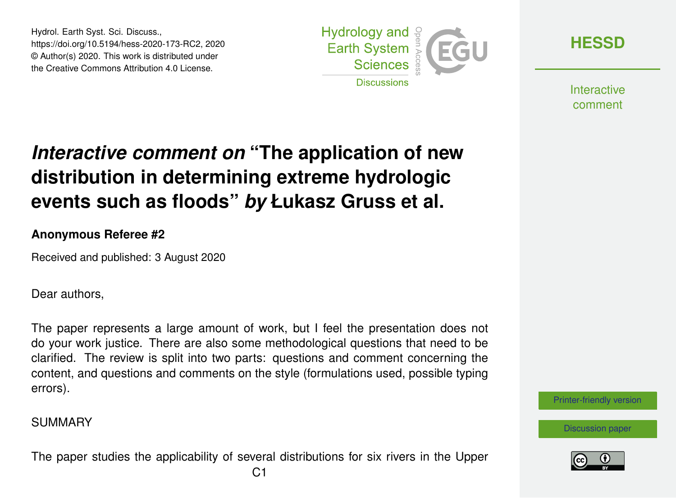Hydrol. Earth Syst. Sci. Discuss., https://doi.org/10.5194/hess-2020-173-RC2, 2020 © Author(s) 2020. This work is distributed under the Creative Commons Attribution 4.0 License.



**[HESSD](https://hess.copernicus.org/preprints/)**

**Interactive** comment

# *Interactive comment on* **"The application of new distribution in determining extreme hydrologic events such as floods"** *by* **Łukasz Gruss et al.**

### **Anonymous Referee #2**

Received and published: 3 August 2020

Dear authors,

The paper represents a large amount of work, but I feel the presentation does not do your work justice. There are also some methodological questions that need to be clarified. The review is split into two parts: questions and comment concerning the content, and questions and comments on the style (formulations used, possible typing errors).

### SUMMARY

The paper studies the applicability of several distributions for six rivers in the Upper



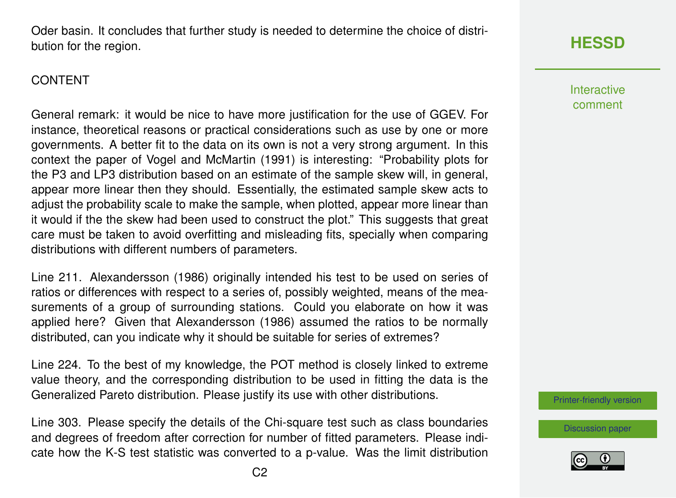Oder basin. It concludes that further study is needed to determine the choice of distribution for the region.

### CONTENT

General remark: it would be nice to have more justification for the use of GGEV. For instance, theoretical reasons or practical considerations such as use by one or more governments. A better fit to the data on its own is not a very strong argument. In this context the paper of Vogel and McMartin (1991) is interesting: "Probability plots for the P3 and LP3 distribution based on an estimate of the sample skew will, in general, appear more linear then they should. Essentially, the estimated sample skew acts to adjust the probability scale to make the sample, when plotted, appear more linear than it would if the the skew had been used to construct the plot." This suggests that great care must be taken to avoid overfitting and misleading fits, specially when comparing distributions with different numbers of parameters.

Line 211. Alexandersson (1986) originally intended his test to be used on series of ratios or differences with respect to a series of, possibly weighted, means of the measurements of a group of surrounding stations. Could you elaborate on how it was applied here? Given that Alexandersson (1986) assumed the ratios to be normally distributed, can you indicate why it should be suitable for series of extremes?

Line 224. To the best of my knowledge, the POT method is closely linked to extreme value theory, and the corresponding distribution to be used in fitting the data is the Generalized Pareto distribution. Please justify its use with other distributions.

Line 303. Please specify the details of the Chi-square test such as class boundaries and degrees of freedom after correction for number of fitted parameters. Please indicate how the K-S test statistic was converted to a p-value. Was the limit distribution

# **[HESSD](https://hess.copernicus.org/preprints/)**

**Interactive** comment

[Printer-friendly version](https://hess.copernicus.org/preprints/hess-2020-173/hess-2020-173-RC2-print.pdf)

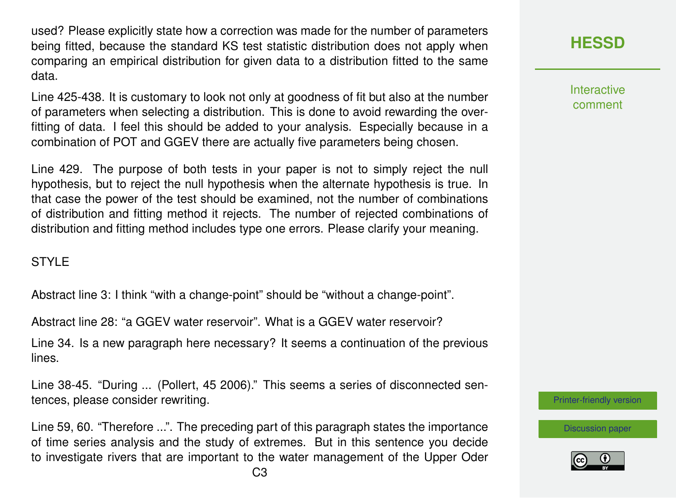used? Please explicitly state how a correction was made for the number of parameters being fitted, because the standard KS test statistic distribution does not apply when comparing an empirical distribution for given data to a distribution fitted to the same data.

Line 425-438. It is customary to look not only at goodness of fit but also at the number of parameters when selecting a distribution. This is done to avoid rewarding the overfitting of data. I feel this should be added to your analysis. Especially because in a combination of POT and GGEV there are actually five parameters being chosen.

Line 429. The purpose of both tests in your paper is not to simply reject the null hypothesis, but to reject the null hypothesis when the alternate hypothesis is true. In that case the power of the test should be examined, not the number of combinations of distribution and fitting method it rejects. The number of rejected combinations of distribution and fitting method includes type one errors. Please clarify your meaning.

### **STYLE**

Abstract line 3: I think "with a change-point" should be "without a change-point".

Abstract line 28: "a GGEV water reservoir". What is a GGEV water reservoir?

Line 34. Is a new paragraph here necessary? It seems a continuation of the previous lines.

Line 38-45. "During ... (Pollert, 45 2006)." This seems a series of disconnected sentences, please consider rewriting.

Line 59, 60. "Therefore ...". The preceding part of this paragraph states the importance of time series analysis and the study of extremes. But in this sentence you decide to investigate rivers that are important to the water management of the Upper Oder **Interactive** comment

[Printer-friendly version](https://hess.copernicus.org/preprints/hess-2020-173/hess-2020-173-RC2-print.pdf)

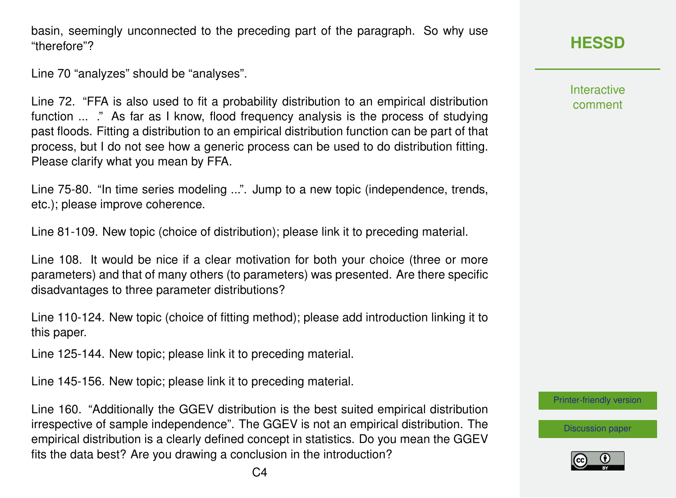basin, seemingly unconnected to the preceding part of the paragraph. So why use "therefore"?

Line 70 "analyzes" should be "analyses".

Line 72. "FFA is also used to fit a probability distribution to an empirical distribution function ... ." As far as I know, flood frequency analysis is the process of studying past floods. Fitting a distribution to an empirical distribution function can be part of that process, but I do not see how a generic process can be used to do distribution fitting. Please clarify what you mean by FFA.

Line 75-80. "In time series modeling ...". Jump to a new topic (independence, trends, etc.); please improve coherence.

Line 81-109. New topic (choice of distribution); please link it to preceding material.

Line 108. It would be nice if a clear motivation for both your choice (three or more parameters) and that of many others (to parameters) was presented. Are there specific disadvantages to three parameter distributions?

Line 110-124. New topic (choice of fitting method); please add introduction linking it to this paper.

Line 125-144. New topic; please link it to preceding material.

Line 145-156. New topic; please link it to preceding material.

Line 160. "Additionally the GGEV distribution is the best suited empirical distribution irrespective of sample independence". The GGEV is not an empirical distribution. The empirical distribution is a clearly defined concept in statistics. Do you mean the GGEV fits the data best? Are you drawing a conclusion in the introduction?

Interactive comment

[Printer-friendly version](https://hess.copernicus.org/preprints/hess-2020-173/hess-2020-173-RC2-print.pdf)

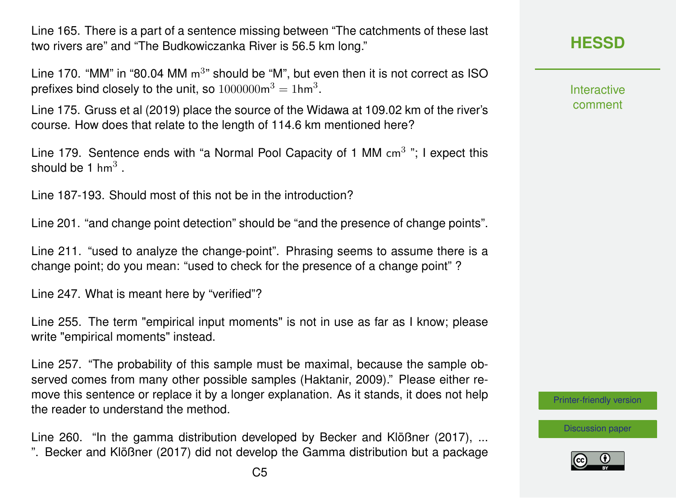Line 165. There is a part of a sentence missing between "The catchments of these last two rivers are" and "The Budkowiczanka River is 56.5 km long."

Line 170. "MM" in "80.04 MM  $m<sup>3</sup>$ " should be "M", but even then it is not correct as ISO prefixes bind closely to the unit, so  $1000000 \mathrm{m}^3 = 1 \mathrm{h} \mathrm{m}^3.$ 

Line 175. Gruss et al (2019) place the source of the Widawa at 109.02 km of the river's course. How does that relate to the length of 114.6 km mentioned here?

Line 179. Sentence ends with "a Normal Pool Capacity of 1 MM cm<sup>3</sup> "; I expect this should be 1 hm $^3$  .

Line 187-193. Should most of this not be in the introduction?

Line 201. "and change point detection" should be "and the presence of change points".

Line 211. "used to analyze the change-point". Phrasing seems to assume there is a change point; do you mean: "used to check for the presence of a change point" ?

Line 247. What is meant here by "verified"?

Line 255. The term "empirical input moments" is not in use as far as I know; please write "empirical moments" instead.

Line 257. "The probability of this sample must be maximal, because the sample observed comes from many other possible samples (Haktanir, 2009)." Please either remove this sentence or replace it by a longer explanation. As it stands, it does not help the reader to understand the method.

Line 260. "In the gamma distribution developed by Becker and Klößner (2017), ... ". Becker and Klößner (2017) did not develop the Gamma distribution but a package

## **[HESSD](https://hess.copernicus.org/preprints/)**

**Interactive** comment

[Printer-friendly version](https://hess.copernicus.org/preprints/hess-2020-173/hess-2020-173-RC2-print.pdf)

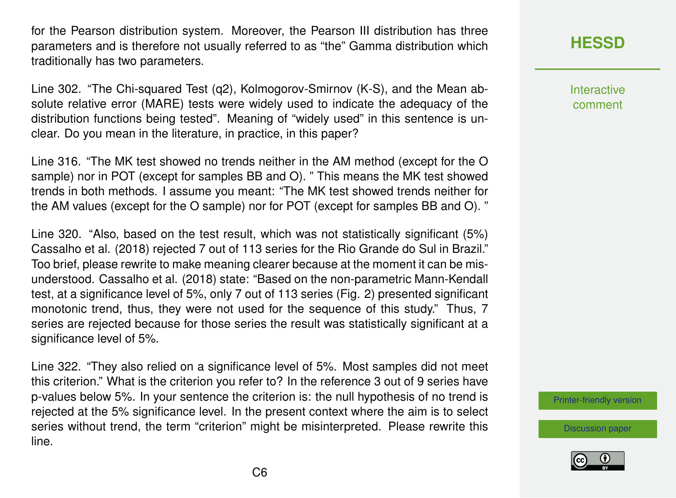for the Pearson distribution system. Moreover, the Pearson III distribution has three parameters and is therefore not usually referred to as "the" Gamma distribution which traditionally has two parameters.

Line 302. "The Chi-squared Test (q2), Kolmogorov-Smirnov (K-S), and the Mean absolute relative error (MARE) tests were widely used to indicate the adequacy of the distribution functions being tested". Meaning of "widely used" in this sentence is unclear. Do you mean in the literature, in practice, in this paper?

Line 316. "The MK test showed no trends neither in the AM method (except for the O sample) nor in POT (except for samples BB and O). " This means the MK test showed trends in both methods. I assume you meant: "The MK test showed trends neither for the AM values (except for the O sample) nor for POT (except for samples BB and O). "

Line 320. "Also, based on the test result, which was not statistically significant (5%) Cassalho et al. (2018) rejected 7 out of 113 series for the Rio Grande do Sul in Brazil." Too brief, please rewrite to make meaning clearer because at the moment it can be misunderstood. Cassalho et al. (2018) state: "Based on the non-parametric Mann-Kendall test, at a significance level of 5%, only 7 out of 113 series (Fig. 2) presented significant monotonic trend, thus, they were not used for the sequence of this study." Thus, 7 series are rejected because for those series the result was statistically significant at a significance level of 5%.

Line 322. "They also relied on a significance level of 5%. Most samples did not meet this criterion." What is the criterion you refer to? In the reference 3 out of 9 series have p-values below 5%. In your sentence the criterion is: the null hypothesis of no trend is rejected at the 5% significance level. In the present context where the aim is to select series without trend, the term "criterion" might be misinterpreted. Please rewrite this line.

**[HESSD](https://hess.copernicus.org/preprints/)**

Interactive comment

[Printer-friendly version](https://hess.copernicus.org/preprints/hess-2020-173/hess-2020-173-RC2-print.pdf)

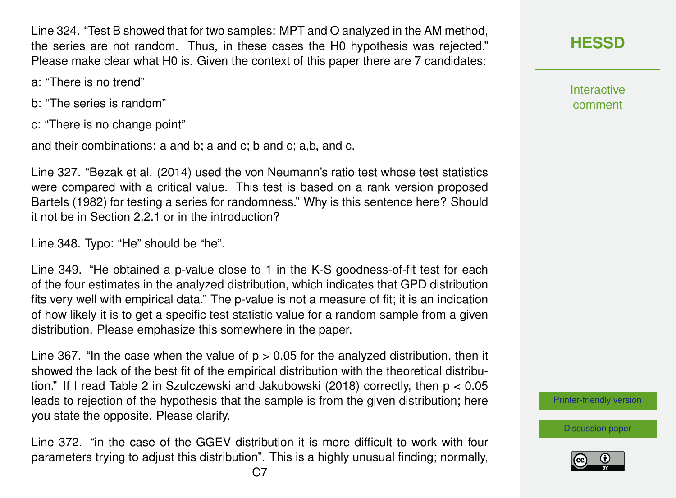Line 324. "Test B showed that for two samples: MPT and O analyzed in the AM method, the series are not random. Thus, in these cases the H0 hypothesis was rejected." Please make clear what H0 is. Given the context of this paper there are 7 candidates:

- a: "There is no trend"
- b: "The series is random"
- c: "There is no change point"

and their combinations: a and b; a and c; b and c; a,b, and c.

Line 327. "Bezak et al. (2014) used the von Neumann's ratio test whose test statistics were compared with a critical value. This test is based on a rank version proposed Bartels (1982) for testing a series for randomness." Why is this sentence here? Should it not be in Section 2.2.1 or in the introduction?

Line 348. Typo: "He" should be "he".

Line 349. "He obtained a p-value close to 1 in the K-S goodness-of-fit test for each of the four estimates in the analyzed distribution, which indicates that GPD distribution fits very well with empirical data." The p-value is not a measure of fit; it is an indication of how likely it is to get a specific test statistic value for a random sample from a given distribution. Please emphasize this somewhere in the paper.

Line 367. "In the case when the value of  $p > 0.05$  for the analyzed distribution, then it showed the lack of the best fit of the empirical distribution with the theoretical distribution." If I read Table 2 in Szulczewski and Jakubowski (2018) correctly, then p < 0.05 leads to rejection of the hypothesis that the sample is from the given distribution; here you state the opposite. Please clarify.

Line 372. "in the case of the GGEV distribution it is more difficult to work with four parameters trying to adjust this distribution". This is a highly unusual finding; normally, **Interactive** comment

[Printer-friendly version](https://hess.copernicus.org/preprints/hess-2020-173/hess-2020-173-RC2-print.pdf)